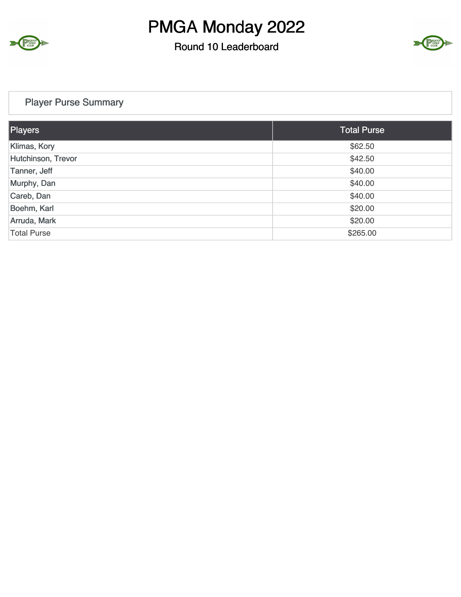

#### Round 10 Leaderboard



#### Player Purse Summary

| Players            | <b>Total Purse</b> |
|--------------------|--------------------|
| Klimas, Kory       | \$62.50            |
| Hutchinson, Trevor | \$42.50            |
| Tanner, Jeff       | \$40.00            |
| Murphy, Dan        | \$40.00            |
| Careb, Dan         | \$40.00            |
| Boehm, Karl        | \$20.00            |
| Arruda, Mark       | \$20.00            |
| <b>Total Purse</b> | \$265.00           |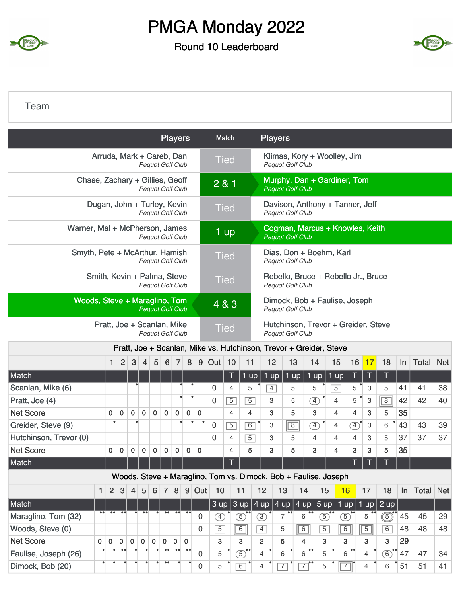

### Round 10 Leaderboard



Team

|                                 |                  |                  |                  |                |                  |                                                        |                  | <b>Players</b>   |                  |             |                | Match            |                             |                | <b>Players</b>  |                |                                                                    |                |                |                |                |                |    |                  |            |
|---------------------------------|------------------|------------------|------------------|----------------|------------------|--------------------------------------------------------|------------------|------------------|------------------|-------------|----------------|------------------|-----------------------------|----------------|-----------------|----------------|--------------------------------------------------------------------|----------------|----------------|----------------|----------------|----------------|----|------------------|------------|
|                                 |                  |                  |                  |                |                  | Arruda, Mark + Careb, Dan<br>Pequot Golf Club          |                  |                  |                  |             |                | <b>Tied</b>      |                             |                |                 |                | Klimas, Kory + Woolley, Jim<br><b>Pequot Golf Club</b>             |                |                |                |                |                |    |                  |            |
| Chase, Zachary + Gillies, Geoff |                  |                  |                  |                |                  | Pequot Golf Club                                       |                  |                  |                  |             |                | $\overline{281}$ |                             |                |                 |                | Murphy, Dan + Gardiner, Tom<br><b>Pequot Golf Club</b>             |                |                |                |                |                |    |                  |            |
|                                 |                  |                  |                  |                |                  | Dugan, John + Turley, Kevin<br><b>Pequot Golf Club</b> |                  |                  |                  |             |                | <b>Tied</b>      |                             |                |                 |                | Davison, Anthony + Tanner, Jeff<br><b>Pequot Golf Club</b>         |                |                |                |                |                |    |                  |            |
| Warner, Mal + McPherson, James  |                  |                  |                  |                |                  | <b>Pequot Golf Club</b>                                |                  |                  |                  |             |                | 1 up             |                             |                |                 |                | Cogman, Marcus + Knowles, Keith<br><b>Pequot Golf Club</b>         |                |                |                |                |                |    |                  |            |
| Smyth, Pete + McArthur, Hamish  |                  |                  |                  |                |                  | Pequot Golf Club                                       |                  |                  |                  |             |                | <b>Tied</b>      |                             |                |                 |                | Dias, Don + Boehm, Karl<br><b>Pequot Golf Club</b>                 |                |                |                |                |                |    |                  |            |
|                                 |                  |                  |                  |                |                  | Smith, Kevin + Palma, Steve<br>Pequot Golf Club        |                  |                  |                  |             |                | <b>Tied</b>      |                             |                |                 |                | Rebello, Bruce + Rebello Jr., Bruce<br><b>Pequot Golf Club</b>     |                |                |                |                |                |    |                  |            |
| Woods, Steve + Maraglino, Tom   |                  |                  |                  |                |                  | <b>Pequot Golf Club</b>                                |                  |                  |                  |             |                | 4 & 3            |                             |                |                 |                | Dimock, Bob + Faulise, Joseph<br><b>Pequot Golf Club</b>           |                |                |                |                |                |    |                  |            |
|                                 |                  |                  |                  |                |                  | Pratt, Joe + Scanlan, Mike<br><b>Pequot Golf Club</b>  |                  |                  |                  |             |                | <b>Tied</b>      |                             |                |                 |                | Hutchinson, Trevor + Greider, Steve<br><b>Pequot Golf Club</b>     |                |                |                |                |                |    |                  |            |
|                                 |                  |                  |                  |                |                  |                                                        |                  |                  |                  |             |                |                  |                             |                |                 |                | Pratt, Joe + Scanlan, Mike vs. Hutchinson, Trevor + Greider, Steve |                |                |                |                |                |    |                  |            |
|                                 |                  | 1                | $\overline{2}$   | 3              | $\overline{4}$   | 5                                                      | 6                | $\overline{7}$   | 8                | 9           | Out            | 10               | 11                          |                | 12              | 13             |                                                                    | 14             | 15             | 16             | $\vert$ 17     | 18             | In | Total            | <b>Net</b> |
| Match                           |                  |                  |                  |                |                  |                                                        |                  |                  |                  |             |                | Τ                |                             | $1$ up         | $1$ up          | $1$ up         |                                                                    | $1$ up         | 1 up           | $\mathsf T$    | Τ              | Τ              |    |                  |            |
| Scanlan, Mike (6)               |                  |                  |                  |                |                  |                                                        |                  |                  |                  |             | 0              | 4                |                             | 5              | $\overline{4}$  | 5              |                                                                    | 5              | $\overline{5}$ | 5              | 3              | 5              | 41 | 41               | 38         |
| Pratt, Joe (4)                  |                  |                  |                  |                |                  |                                                        |                  |                  |                  |             | 0              | $\overline{5}$   |                             | $\overline{5}$ | 3               | 5              |                                                                    | <sup>4</sup>   | 4              | 5              | 3              | $\overline{8}$ | 42 | 42               | 40         |
| <b>Net Score</b>                |                  | $\mathbf 0$      | $\mathbf 0$      | $\mathbf 0$    | $\mathbf 0$      | $\mathbf 0$                                            | $\mathbf 0$      | $\mathbf 0$      | 0                | 0           |                | 4                |                             | 4              | 3               | 5              |                                                                    | 3              | 4              | 4              | 3              | 5              | 35 |                  |            |
| Greider, Steve (9)              |                  |                  |                  | $\bullet$      |                  |                                                        |                  |                  | $\bullet$        | $\bullet$   | 0              | $\overline{5}$   |                             | 6              | 3               | $\overline{8}$ |                                                                    | $\circled{4}$  | 4              | $\circled{4}$  | 3              | 6              | 43 | 43               | 39         |
| Hutchinson, Trevor (0)          |                  |                  |                  |                |                  |                                                        |                  |                  |                  |             | 0              | 4                |                             | $\overline{5}$ | 3               | 5              |                                                                    | $\overline{4}$ | 4              | 4              | 3              | 5              | 37 | 37               | 37         |
| <b>Net Score</b>                |                  | 0                | 0                | 0              | 0                | $\mathbf 0$                                            | 0                | 0                | 0                | 0           |                | 4                |                             | 5              | 3               | 5              |                                                                    | 3              | 4              | 3              | 3              | 5              | 35 |                  |            |
| Match                           |                  |                  |                  |                |                  |                                                        |                  |                  |                  |             |                | <b>T 1</b>       |                             |                |                 |                |                                                                    |                |                | <b>T</b>       | $\top$         | <b>TT</b>      |    |                  |            |
|                                 |                  |                  |                  |                |                  |                                                        |                  |                  |                  |             |                |                  |                             |                |                 |                | Woods, Steve + Maraglino, Tom vs. Dimock, Bob + Faulise, Joseph    |                |                |                |                |                |    |                  |            |
|                                 | 1                | 2 <sup>2</sup>   | $\mathbf{3}$     | $\overline{4}$ | 5                |                                                        |                  |                  |                  | 6 7 8 9 Out | 10             |                  | 11                          |                | 12              | 13             | 14                                                                 | 15             | 16             |                | 17             | 18             | In | <b>Total Net</b> |            |
| Match                           |                  |                  |                  |                |                  |                                                        |                  |                  |                  |             |                |                  |                             |                |                 |                | $3$ up $3$ up $4$ up $4$ up $4$ up $5$ up                          |                |                | $1$ up $\vert$ |                | $1$ up $2$ up  |    |                  |            |
| Maraglino, Tom (32)             | $\bullet\bullet$ | $\bullet\bullet$ | $\bullet\bullet$ |                | $\bullet\bullet$ |                                                        | $\bullet\bullet$ | $\bullet\bullet$ |                  | 0           | $\circled{4}$  |                  | $\circled{5}$               |                | $\circled{3}$   | $\overline{7}$ | $6\,$                                                              | $\circledS$    | $\circledS$    |                | 5              | گ              | 45 | 45               | 29         |
| Woods, Steve (0)                |                  |                  |                  |                |                  |                                                        |                  |                  |                  | $\mathbf 0$ | $\overline{5}$ |                  | $\boxed{6}$                 |                | $\vert 4 \vert$ | 5              | $\boxed{6}$                                                        | $\overline{5}$ |                | 6              | $\boxed{5}$    | 6              | 48 | 48               | 48         |
| <b>Net Score</b>                | $\mathbf 0$      | $\mathbf 0$      | $\mathbf{0}$     | $\mathbf 0$    | $\mathbf 0$      | $\mathbf 0$                                            | $\mathbf 0$      | $\mathbf 0$      | $\overline{0}$   |             | 3              |                  | 3                           |                | $\overline{2}$  | 5              | 4                                                                  | 3              | 3              |                | 3              | 3              | 29 |                  |            |
| Faulise, Joseph (26)            |                  |                  |                  |                |                  |                                                        | $\bullet$        | $\bullet\bullet$ | $\bullet\bullet$ | 0           | 5              |                  | $\overline{5}$ <sup>*</sup> |                | 4               | 6              | 6                                                                  | 5              |                | $6 -$          | 4              | $\circledcirc$ | 47 | 47               | 34         |
| Dimock, Bob (20)                |                  |                  | $\bullet$        |                |                  | ٠                                                      | $\bullet\bullet$ |                  |                  | $\mathbf 0$ | 5              |                  | 6                           |                | 4               | $\overline{7}$ | $\overline{7}$                                                     | 5              |                | $\overline{7}$ | $\overline{4}$ | 6              | 51 | 51               | 41         |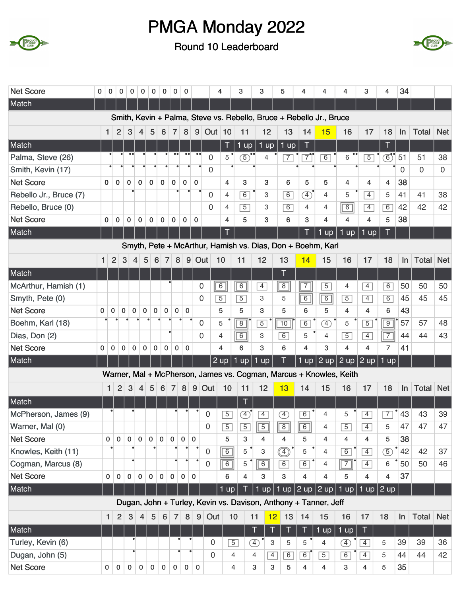



| <b>Net Score</b>       | 0           | 0              | $\mathbf 0$    | $\bf{0}$       | $\mathbf 0$    | 0            | 0              | 0              | $\mathbf 0$      |                | 4                                                                   |                | 3              | 3              |                           | 5               | 4              | 4                         | 4                                                                  | 3                       | 4                              | 34          |                  |             |
|------------------------|-------------|----------------|----------------|----------------|----------------|--------------|----------------|----------------|------------------|----------------|---------------------------------------------------------------------|----------------|----------------|----------------|---------------------------|-----------------|----------------|---------------------------|--------------------------------------------------------------------|-------------------------|--------------------------------|-------------|------------------|-------------|
| Match                  |             |                |                |                |                |              |                |                |                  |                |                                                                     |                |                |                |                           |                 |                |                           |                                                                    |                         |                                |             |                  |             |
|                        |             |                |                |                |                |              |                |                |                  |                | Smith, Kevin + Palma, Steve vs. Rebello, Bruce + Rebello Jr., Bruce |                |                |                |                           |                 |                |                           |                                                                    |                         |                                |             |                  |             |
|                        |             | 1              | 2              | 3              | $\overline{4}$ | 5            | 6              | $\overline{7}$ | 8                | 9 <sup>1</sup> | Out 10                                                              |                | 11             | 12             |                           | 13              | 14             | 15                        | 16                                                                 | 17                      | 18                             | $\ln$       | <b>Total</b>     | <b>Net</b>  |
| Match                  |             |                |                |                |                |              |                |                |                  |                |                                                                     | Τ              | $1 \text{ up}$ | 1 up           |                           | $1$ up          | T              |                           |                                                                    |                         | T                              |             |                  |             |
| Palma, Steve (26)      |             |                |                |                |                |              |                |                | $\bullet\bullet$ |                | $\mathbf 0$                                                         | 5              | $\circledS$    | $\overline{4}$ |                           | $\overline{7}$  | $\overline{7}$ | $\overline{6}$            | 6                                                                  | $\overline{5}$          | $\textcircled{\scriptsize{6}}$ | 51          | 51               | 38          |
| Smith, Kevin (17)      |             |                |                |                |                |              |                |                |                  |                | $\boldsymbol{0}$                                                    |                |                |                |                           |                 |                |                           |                                                                    |                         |                                | $\mathbf 0$ | $\Omega$         | $\mathbf 0$ |
| <b>Net Score</b>       |             | $\Omega$       | $\mathbf{0}$   | $\mathbf{0}$   | $\mathbf 0$    | $\mathbf{0}$ | $\mathbf 0$    | $\mathbf 0$    | $\mathbf 0$      | $\mathbf 0$    |                                                                     | 4              | 3              | 3              |                           | 6               | 5              | 5                         | 4                                                                  | 4                       | 4                              | 38          |                  |             |
| Rebello Jr., Bruce (7) |             |                |                |                |                |              |                |                |                  |                | $\mathbf 0$                                                         | $\overline{4}$ | 6              | 3              |                           | $\overline{6}$  | $\circled{4}$  | $\overline{4}$            | 5                                                                  | $\overline{4}$          | 5                              | 41          | 41               | 38          |
| Rebello, Bruce (0)     |             |                |                |                |                |              |                |                |                  |                | $\Omega$                                                            | $\overline{4}$ | $\overline{5}$ | 3              |                           | $\overline{6}$  | $\overline{4}$ | $\overline{4}$            | $\overline{6}$                                                     | $\overline{4}$          | $\overline{6}$                 | 42          | 42               | 42          |
| <b>Net Score</b>       |             | $\mathbf 0$    | $\mathbf 0$    | 0              | 0              | $\pmb{0}$    | $\mathbf 0$    | $\pmb{0}$      | $\bf{0}$         | $\mathbf 0$    |                                                                     | $\overline{4}$ | 5              | 3              |                           | 6               | 3              | 4                         | $\overline{4}$                                                     | 4                       | 5                              | 38          |                  |             |
| Match                  |             |                |                |                |                |              |                |                |                  |                |                                                                     | T              |                |                |                           |                 | Т              | $1$ up                    | $\mathbf{1}$<br>up                                                 | $1$ up                  |                                |             |                  |             |
|                        |             |                |                |                |                |              |                |                |                  |                | Smyth, Pete + McArthur, Hamish vs. Dias, Don + Boehm, Karl          |                |                |                |                           |                 |                |                           |                                                                    |                         |                                |             |                  |             |
|                        | 1           | $\overline{2}$ | 3              | $\overline{4}$ | 5              | 6            | $\overline{7}$ | 8 <sup>1</sup> |                  | $9$ Out        | 10                                                                  |                | 11             | 12             |                           | 13              | 14             | 15                        | 16                                                                 | 17                      | 18                             | $\ln$       | <b>Total Net</b> |             |
| Match                  |             |                |                |                |                |              |                |                |                  |                |                                                                     |                |                |                |                           |                 |                |                           |                                                                    |                         |                                |             |                  |             |
| McArthur, Hamish (1)   |             |                |                |                |                |              |                |                |                  |                | 0                                                                   | $\boxed{6}$    | $\boxed{6}$    | $\overline{4}$ |                           | $\boxed{8}$     | $\overline{7}$ | $\overline{5}$            | 4                                                                  | $\overline{4}$          | 6                              | 50          | 50               | 50          |
| Smyth, Pete (0)        |             |                |                |                |                |              |                |                |                  |                | $\Omega$                                                            | $\overline{5}$ | $\overline{5}$ | З              |                           | 5               | 6              | $\sqrt{6}$                | $\overline{5}$                                                     | $\overline{4}$          | 6                              | 45          | 45               | 45          |
| <b>Net Score</b>       | $\mathbf 0$ | $\mathbf{0}$   | $\mathbf 0$    | $\mathbf 0$    | $\mathbf 0$    | $\mathbf 0$  | $\mathbf 0$    | $\mathbf 0$    | $\mathbf 0$      |                |                                                                     | 5              | 5              | 3              |                           | 5               | 6              | 5                         | 4                                                                  | 4                       | 6                              | 43          |                  |             |
| Boehm, Karl (18)       |             |                |                |                |                |              |                |                |                  |                | 0                                                                   | 5              | $\overline{8}$ | $\overline{5}$ |                           | $\overline{10}$ | $\overline{6}$ | F)                        | 5                                                                  | $\overline{5}$          | $\overline{9}$                 | 57          | 57               | 48          |
| Dias, Don (2)          |             |                |                |                |                |              |                |                |                  |                | $\overline{0}$                                                      | $\overline{4}$ | $\overline{6}$ | 3              |                           | 6               | 5              | 4                         | $\overline{5}$                                                     | $\overline{4}$          | $\sqrt{7}$                     | 44          | 44               | 43          |
| <b>Net Score</b>       | 0           | $\bf{0}$       | 0              | 0              | $\pmb{0}$      | $\pmb{0}$    | 0              | $\pmb{0}$      | $\mathbf 0$      |                |                                                                     | 4              | 6              | 3              |                           | 6               | 4              | 3                         | 4                                                                  | $\overline{4}$          | $\overline{7}$                 | 41          |                  |             |
| Match                  |             |                |                |                |                |              |                |                |                  |                |                                                                     | $2$ up         | $1$ up         | $1$ up         |                           | T               |                |                           | 1 up $\sqrt{2}$ up $\sqrt{2}$ up $\sqrt{2}$ up $\sqrt{2}$          |                         | $1 \text{ up}$                 |             |                  |             |
|                        |             |                |                |                |                |              |                |                |                  |                |                                                                     |                |                |                |                           |                 |                |                           | Warner, Mal + McPherson, James vs. Cogman, Marcus + Knowles, Keith |                         |                                |             |                  |             |
|                        |             | $\mathbf{1}$   | $\overline{2}$ | 3              | $\overline{4}$ | 5            | 6              | $\overline{7}$ | 8                | 9              | Out                                                                 | 10             | 11             | 12             |                           | 13              | 14             | 15                        | 16                                                                 | 17                      | 18                             | $\ln$       | Total            | <b>Net</b>  |
| Match                  |             |                |                |                |                |              |                |                |                  |                |                                                                     |                | T              |                |                           |                 |                |                           |                                                                    |                         |                                |             |                  |             |
| McPherson, James (9)   |             |                |                |                |                |              |                |                |                  |                | 0                                                                   | $\overline{5}$ | $\bigoplus$    | $\overline{4}$ |                           | Œ               | 6              | 4                         | 5                                                                  | $\overline{4}$          | $\overline{7}$                 | 43          | 43               | 39          |
| Warner, Mal (0)        |             |                |                |                |                |              |                |                |                  |                | $\boldsymbol{0}$                                                    | $\boxed{5}$    | $\boxed{5}$    | $\boxed{5}$    |                           | $\boxed{8}$     | $\boxed{6}$    | $\overline{4}$            | $\boxed{5}$                                                        | $\boxed{4}$             | 5                              | 47          | 47               | 47          |
| <b>Net Score</b>       |             | $\overline{0}$ | $\mathbf 0$    | $\mathbf 0$    | $\mathbf 0$    | $\pmb{0}$    | $\mathbf 0$    | $\mathbf 0$    | $\mathbf 0$      | $\mathbf{0}$   |                                                                     | 5              | 3              | 4              |                           | 4               | 5              | 4                         | 4                                                                  | 4                       | 5                              | 38          |                  |             |
| Knowles, Keith (11)    |             |                |                |                |                |              |                |                |                  |                | 0                                                                   | 6              | 5              | 3              |                           | $^{\circledR}$  | 5              | $\overline{4}$            | $\boxed{6}$                                                        | $\overline{4}$          | $\circled{5}$                  | 42          | 42               | 37          |
| Cogman, Marcus (8)     |             |                |                |                |                |              |                |                |                  |                | $\mathbf 0$                                                         | 6              | 5              | 6              |                           | 6               | 6              | 4                         | $\boxed{7}$                                                        | $\boxed{4}$             | 6                              | 50          | 50               | 46          |
| <b>Net Score</b>       |             | $\mathbf 0$    | $\mathbf{0}$   | $\mathbf{0}$   | $\mathbf{0}$   | $\mathbf 0$  | $\mathbf 0$    | $\mathbf{0}$   | $\mathbf{0}$     | $\Omega$       |                                                                     | 6              | $\overline{4}$ | 3              |                           | 3               | 4              | 4                         | 5                                                                  | 4                       | 4                              | 37          |                  |             |
| Match                  |             |                |                |                |                |              |                |                |                  |                |                                                                     | $1$ up         |                |                |                           |                 |                | 1 up   1 up   2 up   2 up |                                                                    | 1 up   1 up $ 2$ up $ $ |                                |             |                  |             |
|                        |             |                |                |                |                |              |                |                |                  |                | Dugan, John + Turley, Kevin vs. Davison, Anthony + Tanner, Jeff     |                |                |                |                           |                 |                |                           |                                                                    |                         |                                |             |                  |             |
|                        |             | 1              | 2              | 3              | $\overline{4}$ | 5            | $\,6\,$        | $\overline{7}$ | 8                |                | $9$ Out                                                             | 10             |                | 11             | 12                        | 13              | 14             | 15                        | 16                                                                 | 17                      | 18                             | In          | <b>Total</b>     | <b>Net</b>  |
| Match                  |             |                |                |                |                |              |                |                |                  |                |                                                                     |                |                | T              | T                         | T               | T              | $1$ up                    | $1$ up                                                             | T                       |                                |             |                  |             |
| Turley, Kevin (6)      |             |                |                |                |                |              |                |                |                  |                | 0                                                                   | $\overline{5}$ |                | Ð              | $\ensuremath{\mathsf{3}}$ | 5               | 5              | $\overline{4}$            | ④                                                                  | $\overline{4}$          | 5                              | 39          | 39               | 36          |
| Dugan, John (5)        |             |                |                | $\bullet$      |                |              |                |                |                  |                | $\mathbf 0$                                                         | $\overline{4}$ |                | 4              | $\overline{4}$            | 6               | $\boxed{6}$    | $\overline{5}$            | 6                                                                  | $\overline{4}$          | 5                              | 44          | 44               | 42          |
| <b>Net Score</b>       |             | $\mathbf 0$    | $\mathbf 0$    | $\mathbf 0$    | $\mathbf 0$    | $\mathbf 0$  | $\pmb{0}$      | $\mathbf 0$    | $\mathbf 0$      | $\mathbf 0$    |                                                                     | 4              |                | 3              | 3                         | 5               | 4              | 4                         | 3                                                                  | 4                       | 5                              | 35          |                  |             |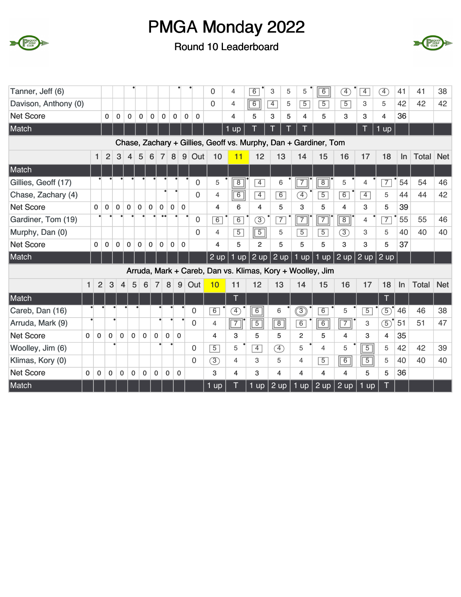



| Tanner, Jeff (6)     |          |                |                |              |              |              |             |                             |             |              |             | $\overline{0}$    | $\overline{4}$ | 6                 | 3                 | 5 | 5                       | $\overline{6}$                                                  | $\left( \overline{4}\right)$ | $\overline{4}$ | $\boxed{4}$       | 41    | 41           | 38         |
|----------------------|----------|----------------|----------------|--------------|--------------|--------------|-------------|-----------------------------|-------------|--------------|-------------|-------------------|----------------|-------------------|-------------------|---|-------------------------|-----------------------------------------------------------------|------------------------------|----------------|-------------------|-------|--------------|------------|
| Davison, Anthony (0) |          |                |                |              |              |              |             |                             |             |              |             | 0                 | $\overline{4}$ | 6                 | $\overline{4}$    | 5 | $\overline{5}$          | $\overline{5}$                                                  | $\overline{5}$               | 3              | 5                 | 42    | 42           | 42         |
| <b>Net Score</b>     |          |                | $\mathbf{0}$   | 0            | 0            | 0            | $\mathbf 0$ | $\mathbf 0$                 | 0           | $\mathbf 0$  | $\mathbf 0$ |                   | 4              | 5                 | 3                 | 5 | $\overline{\mathbf{4}}$ | 5                                                               | 3                            | 3              | 4                 | 36    |              |            |
| Match                |          |                |                |              |              |              |             |                             |             |              |             |                   | <b>up</b>      |                   |                   |   | т                       |                                                                 |                              | T.             | $1 \overline{up}$ |       |              |            |
|                      |          |                |                |              |              |              |             |                             |             |              |             |                   |                |                   |                   |   |                         | Chase, Zachary + Gillies, Geoff vs. Murphy, Dan + Gardiner, Tom |                              |                |                   |       |              |            |
|                      |          | 1              | $\overline{2}$ | 3            | 4            | 5            | 6           | $\overline{7}$              | 8           | 9            | Out         | 10                | 11             | 12                | 13                |   | 14                      | 15                                                              | 16                           | 17             | 18                | In    | Total        | <b>Net</b> |
| Match                |          |                |                |              |              |              |             |                             |             |              |             |                   |                |                   |                   |   |                         |                                                                 |                              |                |                   |       |              |            |
| Gillies, Geoff (17)  |          |                |                |              |              |              |             |                             |             |              | $\mathbf 0$ | 5                 | $\overline{8}$ | $\overline{4}$    | 6                 |   | $\boxed{7}$             | $\overline{8}$                                                  | 5                            | 4              | $\overline{7}$    | 54    | 54           | 46         |
| Chase, Zachary (4)   |          |                |                |              |              |              |             |                             |             |              | $\Omega$    | $\overline{4}$    | $\overline{6}$ | $\overline{4}$    | 6                 |   | A)                      | $\overline{5}$                                                  | 6                            | $\overline{4}$ | 5                 | 44    | 44           | 42         |
| <b>Net Score</b>     |          | $\mathbf{0}$   | $\mathbf 0$    | $\mathbf 0$  | $\mathbf 0$  | $\mathbf 0$  | $\mathbf 0$ | $\mathbf 0$                 | $\mathbf 0$ | $\mathbf{0}$ |             | $\overline{4}$    | 6              | 4                 | 5                 |   | 3                       | 5                                                               | 4                            | 3              | 5                 | 39    |              |            |
| Gardiner, Tom (19)   |          |                |                |              |              |              |             |                             |             |              | $\mathbf 0$ | 6                 | 6              | $\circled{3}$     | 7                 |   | $\boxed{7}$             | $\overline{7}$                                                  | $\overline{8}$               | $\overline{4}$ | $\overline{7}$    | 55    | 55           | 46         |
| Murphy, Dan (0)      |          |                |                |              |              |              |             |                             |             |              | $\Omega$    | $\overline{4}$    | $\overline{5}$ | $\boxed{5}$       | 5                 |   | $\overline{5}$          | $\overline{5}$                                                  | $\circled{3}$                | 3              | 5                 | 40    | 40           | 40         |
| <b>Net Score</b>     |          | $\mathbf{0}$   | 0              | $\mathbf 0$  | 0            | 0            | $\mathbf 0$ | $\mathbf 0$                 | 0           | $\mathbf{0}$ |             | 4                 | 5              | $\overline{2}$    | 5                 |   | 5                       | 5                                                               | 3                            | 3              | 5                 | 37    |              |            |
| Match                |          |                |                |              |              |              |             |                             |             |              |             | $2 \overline{up}$ | $1$ up         | $2 \overline{up}$ | $2 \overline{up}$ |   | 1 up                    | 1 up $2$ up                                                     |                              |                | $2$ up $2$ up     |       |              |            |
|                      |          |                |                |              |              |              |             |                             |             |              |             |                   |                |                   |                   |   |                         | Arruda, Mark + Careb, Dan vs. Klimas, Kory + Woolley, Jim       |                              |                |                   |       |              |            |
|                      | 1        | $\overline{2}$ | 3              | 4            | 5            | 6            |             | $\overline{7}$              | 8           | 9            | Out         | 10                | 11             | 12                | 13                |   | 14                      | 15                                                              | 16                           | 17             | 18                | $\ln$ | <b>Total</b> | <b>Net</b> |
| Match                |          |                |                |              |              |              |             |                             |             |              |             |                   | T              |                   |                   |   |                         |                                                                 |                              |                | ī                 |       |              |            |
| Careb, Dan (16)      |          |                |                |              |              |              |             |                             |             |              | $\Omega$    | $\overline{6}$    | F)             | $\overline{6}$    | 6                 |   | ③                       | $\overline{6}$                                                  | 5                            | $\overline{5}$ | $\circled{5}$     | 46    | 46           | 38         |
| Arruda, Mark (9)     |          |                |                |              |              |              |             |                             |             |              | $\Omega$    | 4                 | $\boxed{7}$    | $\overline{5}$    | $\boxed{8}$       |   | 6                       | $\overline{6}$                                                  | $\overline{7}$               | 3              | $\circledS$       | 51    | 51           | 47         |
| <b>Net Score</b>     | $\Omega$ | $\mathbf{0}$   | $\mathbf 0$    | $\mathbf{0}$ | $\mathbf{0}$ | $\mathbf{0}$ |             | $\mathbf 0$<br>$\mathbf{0}$ | $\Omega$    |              |             | 4                 | 3              | 5                 | 5                 |   | $\overline{2}$          | 5                                                               | 4                            | 3              | 4                 | 35    |              |            |
| Woolley, Jim (6)     |          |                |                |              |              |              |             |                             |             |              | $\Omega$    | $\overline{5}$    | 5              | $\overline{4}$    | $\circledA$       |   | 5                       | 4                                                               | 5                            | $\overline{5}$ | 5                 | 42    | 42           | 39         |
| Klimas, Kory (0)     |          |                |                |              |              |              |             |                             |             |              | $\Omega$    | $\circled{3}$     | $\overline{4}$ | 3                 | 5                 |   | $\overline{4}$          | $\overline{5}$                                                  | $\overline{6}$               | $\overline{5}$ | 5                 | 40    | 40           | 40         |
| <b>Net Score</b>     | 0        | $\mathbf 0$    | $\mathbf 0$    | 0            | $\pmb{0}$    | $\mathbf 0$  | 0           | $\mathbf 0$                 |             | 0            |             | 3                 | 4              | 3                 | 4                 |   | 4                       | 4                                                               | 4                            | 5              | 5                 | 36    |              |            |
| Match                |          |                |                |              |              |              |             |                             |             |              |             | $1$ up            |                | $1 \overline{up}$ | 2 up              |   | $1$ up                  | 2 up                                                            | $2 \overline{up}$            | 1 up           |                   |       |              |            |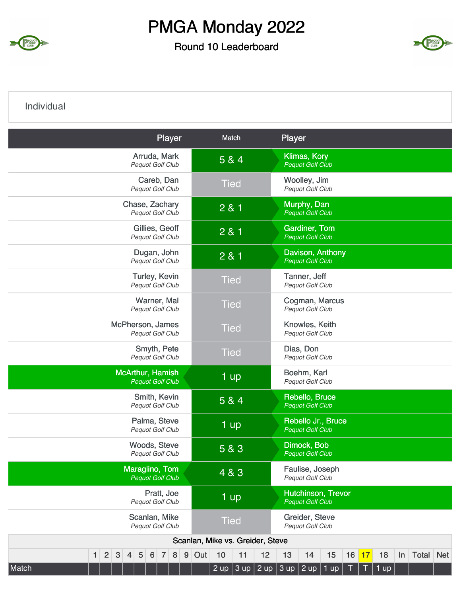

#### Round 10 Leaderboard



#### Individual

| Arruda, Mark<br><b>Klimas, Kory</b><br>5 & 4<br>Pequot Golf Club<br><b>Pequot Golf Club</b><br>Careb, Dan<br>Woolley, Jim<br><b>Tied</b><br>Pequot Golf Club<br>Pequot Golf Club<br>Chase, Zachary<br>Murphy, Dan<br>2 & 1<br>Pequot Golf Club<br><b>Pequot Golf Club</b><br><b>Gardiner, Tom</b><br>Gillies, Geoff<br>2 & 1<br>Pequot Golf Club<br><b>Pequot Golf Club</b><br>Dugan, John<br>Davison, Anthony<br>2 & 1<br>Pequot Golf Club<br><b>Pequot Golf Club</b><br>Tanner, Jeff<br>Turley, Kevin<br><b>Tied</b><br>Pequot Golf Club<br>Pequot Golf Club<br>Warner, Mal<br>Cogman, Marcus<br><b>Tied</b><br>Pequot Golf Club<br>Pequot Golf Club<br>McPherson, James<br>Knowles, Keith<br><b>Tied</b><br>Pequot Golf Club<br>Pequot Golf Club<br>Smyth, Pete<br>Dias, Don<br><b>Tied</b><br>Pequot Golf Club<br>Pequot Golf Club<br>McArthur, Hamish<br>Boehm, Karl<br>$1$ up<br><b>Pequot Golf Club</b><br>Pequot Golf Club<br>Smith, Kevin<br>Rebello, Bruce<br>5 & 4<br><b>Pequot Golf Club</b><br>Pequot Golf Club | Player |
|------------------------------------------------------------------------------------------------------------------------------------------------------------------------------------------------------------------------------------------------------------------------------------------------------------------------------------------------------------------------------------------------------------------------------------------------------------------------------------------------------------------------------------------------------------------------------------------------------------------------------------------------------------------------------------------------------------------------------------------------------------------------------------------------------------------------------------------------------------------------------------------------------------------------------------------------------------------------------------------------------------------------------|--------|
|                                                                                                                                                                                                                                                                                                                                                                                                                                                                                                                                                                                                                                                                                                                                                                                                                                                                                                                                                                                                                              |        |
|                                                                                                                                                                                                                                                                                                                                                                                                                                                                                                                                                                                                                                                                                                                                                                                                                                                                                                                                                                                                                              |        |
|                                                                                                                                                                                                                                                                                                                                                                                                                                                                                                                                                                                                                                                                                                                                                                                                                                                                                                                                                                                                                              |        |
|                                                                                                                                                                                                                                                                                                                                                                                                                                                                                                                                                                                                                                                                                                                                                                                                                                                                                                                                                                                                                              |        |
|                                                                                                                                                                                                                                                                                                                                                                                                                                                                                                                                                                                                                                                                                                                                                                                                                                                                                                                                                                                                                              |        |
|                                                                                                                                                                                                                                                                                                                                                                                                                                                                                                                                                                                                                                                                                                                                                                                                                                                                                                                                                                                                                              |        |
|                                                                                                                                                                                                                                                                                                                                                                                                                                                                                                                                                                                                                                                                                                                                                                                                                                                                                                                                                                                                                              |        |
|                                                                                                                                                                                                                                                                                                                                                                                                                                                                                                                                                                                                                                                                                                                                                                                                                                                                                                                                                                                                                              |        |
|                                                                                                                                                                                                                                                                                                                                                                                                                                                                                                                                                                                                                                                                                                                                                                                                                                                                                                                                                                                                                              |        |
|                                                                                                                                                                                                                                                                                                                                                                                                                                                                                                                                                                                                                                                                                                                                                                                                                                                                                                                                                                                                                              |        |
|                                                                                                                                                                                                                                                                                                                                                                                                                                                                                                                                                                                                                                                                                                                                                                                                                                                                                                                                                                                                                              |        |
| Palma, Steve<br>Rebello Jr., Bruce<br>1 up<br><b>Pequot Golf Club</b><br><b>Pequot Golf Club</b>                                                                                                                                                                                                                                                                                                                                                                                                                                                                                                                                                                                                                                                                                                                                                                                                                                                                                                                             |        |
| Dimock, Bob<br>Woods, Steve<br>5 & 3<br>Pequot Golf Club<br><b>Pequot Golf Club</b>                                                                                                                                                                                                                                                                                                                                                                                                                                                                                                                                                                                                                                                                                                                                                                                                                                                                                                                                          |        |
| Maraglino, Tom<br>Faulise, Joseph<br>4 & 3<br><b>Pequot Golf Club</b><br>Pequot Golf Club                                                                                                                                                                                                                                                                                                                                                                                                                                                                                                                                                                                                                                                                                                                                                                                                                                                                                                                                    |        |
| Pratt, Joe<br>Hutchinson, Trevor<br>1 up<br>Pequot Golf Club<br><b>Pequot Golf Club</b>                                                                                                                                                                                                                                                                                                                                                                                                                                                                                                                                                                                                                                                                                                                                                                                                                                                                                                                                      |        |
| Scanlan, Mike<br>Greider, Steve<br><b>Tied</b><br>Pequot Golf Club<br>Pequot Golf Club                                                                                                                                                                                                                                                                                                                                                                                                                                                                                                                                                                                                                                                                                                                                                                                                                                                                                                                                       |        |
| Scanlan, Mike vs. Greider, Steve                                                                                                                                                                                                                                                                                                                                                                                                                                                                                                                                                                                                                                                                                                                                                                                                                                                                                                                                                                                             |        |
| 2<br>3<br>$\sqrt{5}$<br>9<br>Out<br>10<br>11<br>12<br>16<br>Total<br><b>Net</b><br>6<br>8<br>13<br>15<br>17<br>18<br>$\mathbf{1}$<br>$\overline{7}$<br>14<br>In<br>$\overline{4}$<br>2 up 3 up 2 up 3 up 2 up 1 up  <br>Match<br>$1$ up                                                                                                                                                                                                                                                                                                                                                                                                                                                                                                                                                                                                                                                                                                                                                                                      |        |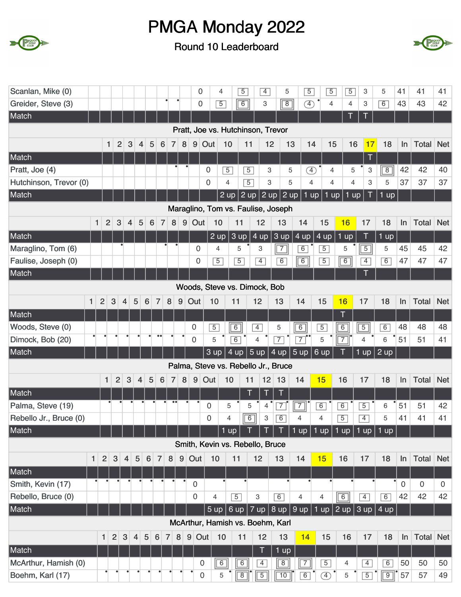



| Scanlan, Mike (0)      |                |                |                |                |                 |                      |                |                  |                | 0                   | 4              | $\overline{5}$                    |                | $\overline{4}$ | 5                                   | $\overline{5}$                                      | $\overline{5}$ | $\overline{5}$ | 3               | 5                                 | 41             | 41               | 41          |
|------------------------|----------------|----------------|----------------|----------------|-----------------|----------------------|----------------|------------------|----------------|---------------------|----------------|-----------------------------------|----------------|----------------|-------------------------------------|-----------------------------------------------------|----------------|----------------|-----------------|-----------------------------------|----------------|------------------|-------------|
| Greider, Steve (3)     |                |                |                |                |                 |                      |                |                  |                | 0                   | $\overline{5}$ | $\sqrt{6}$                        |                | 3              | $\overline{8}$                      | $\circledast$                                       | $\overline{4}$ | $\overline{4}$ | 3               | 6                                 | 43             | 43               | 42          |
| Match                  |                |                |                |                |                 |                      |                |                  |                |                     |                |                                   |                |                |                                     |                                                     |                |                | Т               |                                   |                |                  |             |
|                        |                |                |                |                |                 |                      |                |                  |                |                     |                | Pratt, Joe vs. Hutchinson, Trevor |                |                |                                     |                                                     |                |                |                 |                                   |                |                  |             |
|                        |                | $\mathbf{1}$   | $\overline{2}$ | 3              | 4               | 5<br>$6\phantom{1}6$ | $\overline{7}$ | 8                | 9 <sup>1</sup> | Out                 | 10             | 11                                |                | 12             | 13                                  | 14                                                  | 15             | 16             | 17              | 18                                | ln             | Total            | <b>Net</b>  |
| Match                  |                |                |                |                |                 |                      |                |                  |                |                     |                |                                   |                |                |                                     |                                                     |                |                | T               |                                   |                |                  |             |
| Pratt, Joe (4)         |                |                |                |                |                 |                      |                |                  |                | 0                   | $\overline{5}$ |                                   | $\overline{5}$ | 3              | 5                                   | $\circled{4}$                                       | $\overline{4}$ | 5              | 3               | $\overline{8}$                    | 42             | 42               | 40          |
| Hutchinson, Trevor (0) |                |                |                |                |                 |                      |                |                  |                | 0                   | $\overline{4}$ |                                   | $\overline{5}$ | 3              | 5                                   | $\overline{4}$                                      | 4              | $\overline{4}$ | 3               | 5                                 | 37             | 37               | 37          |
| Match                  |                |                |                |                |                 |                      |                |                  |                |                     | 2 up           |                                   | $2 \text{ up}$ |                | $ 2$ up $ 2$ up                     | 1 up                                                | $1$ up         | 1 up           | T               | $1$ up                            |                |                  |             |
|                        |                |                |                |                |                 |                      |                |                  |                |                     |                |                                   |                |                | Maraglino, Tom vs. Faulise, Joseph  |                                                     |                |                |                 |                                   |                |                  |             |
|                        | $\mathbf{1}$   | $\overline{2}$ | 3              | $\overline{4}$ | 5               | $\overline{7}$<br>6  | 8              | $9\,$            | Out            |                     | 10             | 11                                |                | 12             | 13                                  | 14                                                  | 15             | 16             | 17              | 18                                | In             | Total            | <b>Net</b>  |
| Match                  |                |                |                |                |                 |                      |                |                  |                |                     | $2 \text{ up}$ | 3 up                              | $4 \text{ up}$ |                | 3 up                                | $4 \text{ up}$                                      | 4 up           | $1$ up         | $\top$          | $1$ up                            |                |                  |             |
| Maraglino, Tom (6)     |                |                |                |                |                 |                      |                |                  | 0              |                     | 4              | 5                                 | 3              |                | $\sqrt{7}$                          | $\overline{6}$                                      | $\overline{5}$ | 5              | $\sqrt{5}$      | 5                                 | 45             | 45               | 42          |
| Faulise, Joseph (0)    |                |                |                |                |                 |                      |                |                  | 0              |                     | $\overline{5}$ | $\overline{5}$                    |                | $\overline{4}$ | 6                                   | $\boxed{6}$                                         | $\overline{5}$ | $\boxed{6}$    | $\overline{4}$  | 6                                 | 47             | 47               | 47          |
| Match                  |                |                |                |                |                 |                      |                |                  |                |                     |                |                                   |                |                |                                     |                                                     |                |                | Т               |                                   |                |                  |             |
|                        |                |                |                |                |                 |                      |                |                  |                |                     |                | Woods, Steve vs. Dimock, Bob      |                |                |                                     |                                                     |                |                |                 |                                   |                |                  |             |
| $\mathbf{1}$           | $\overline{2}$ | 3              | $\overline{4}$ | 5              | $6\phantom{1}6$ | $\overline{7}$       | 8              | $9\,$            | Out            | 10                  |                | 11                                | 12             |                | 13                                  | 14                                                  | 15             | 16             | 17              | 18                                | In             | <b>Total</b>     | <b>Net</b>  |
| Match                  |                |                |                |                |                 |                      |                |                  |                |                     |                |                                   |                |                |                                     |                                                     |                | T              |                 |                                   |                |                  |             |
| Woods, Steve (0)       |                |                |                |                |                 |                      |                |                  | $\mathbf 0$    | $\overline{5}$      |                | $\overline{6}$                    | $\overline{4}$ |                | 5                                   | $\overline{6}$                                      | $\overline{5}$ | $\overline{6}$ | $\sqrt{5}$      | 6                                 | 48             | 48               | 48          |
| Dimock, Bob (20)       |                |                |                |                |                 |                      |                |                  | $\mathbf 0$    | 5                   |                | $\overline{6}$                    | 4              |                | $\overline{7}$                      | $\overline{7}$                                      | $\mathbf 5$    | $\sqrt{7}$     | 4               | 6                                 | 51             | 51               | 41          |
| Match                  |                |                |                |                |                 |                      |                |                  |                | 3 up                |                | 4 up                              | 5 up           |                | $4$ up $5$ up                       |                                                     | $6 \text{ up}$ |                | 1 <sub>up</sub> | $2 \text{ up}$                    |                |                  |             |
|                        |                |                |                |                |                 |                      |                |                  |                |                     |                |                                   |                |                | Palma, Steve vs. Rebello Jr., Bruce |                                                     |                |                |                 |                                   |                |                  |             |
|                        |                | $\mathbf{1}$   | 2              | $\mathbf{3}$   | $\overline{4}$  | 5<br>$6\phantom{1}6$ | $\overline{7}$ | 8                |                | $9$ Out             | 10             |                                   | 11             | $12$ 13        |                                     | 14                                                  | 15             | 16             | 17              | 18                                | In             | <b>Total Net</b> |             |
| Match                  |                |                |                |                |                 |                      |                |                  |                |                     |                |                                   | T              | Τ              | Т                                   |                                                     |                |                |                 |                                   |                |                  |             |
| Palma, Steve (19)      |                |                |                |                |                 |                      |                | $\bullet\bullet$ |                | 0                   | 5              |                                   | 5              | 4              | $\overline{7}$                      | $\overline{7}$                                      | 6              | $\overline{6}$ | $\overline{5}$  | 6                                 | 51             | 51               | 42          |
| Rebello Jr., Bruce (0) |                |                |                |                |                 |                      |                |                  |                | 0                   | 4              | $\sqrt{6}$                        |                | 3              | $\overline{6}$                      | 4                                                   | 4              | $\overline{5}$ | $\overline{4}$  | 5                                 | 41             | 41               | 41          |
| Match                  |                |                |                |                |                 |                      |                |                  |                |                     | $1$ up         |                                   |                | Τ              |                                     | 1 up   1 up $ $                                     |                | 1 up           |                 | $1$ up $1$ up                     |                |                  |             |
|                        |                |                |                |                |                 |                      |                |                  |                |                     |                | Smith, Kevin vs. Rebello, Bruce   |                |                |                                     |                                                     |                |                |                 |                                   |                |                  |             |
| $\mathbf{1}$           | $\overline{2}$ | 3              | $\overline{4}$ | 5              | $6\phantom{1}$  | $\overline{7}$       | 8              | $9$              | Out            | 10                  |                | 11                                | 12             |                | 13                                  | 14                                                  | 15             | 16             | 17              | 18                                | ln             | Total            | <b>Net</b>  |
| Match                  |                |                |                |                |                 |                      |                |                  |                |                     |                |                                   |                |                |                                     |                                                     |                |                |                 |                                   |                |                  |             |
| Smith, Kevin (17)      |                |                |                |                |                 |                      |                |                  | $\mathbf 0$    |                     |                |                                   |                |                |                                     |                                                     |                |                |                 |                                   | $\overline{0}$ | $\mathbf 0$      | $\mathbf 0$ |
| Rebello, Bruce (0)     |                |                |                |                |                 |                      |                |                  | 0              |                     | 4              | $\overline{5}$                    | 3              |                | 6                                   | 4                                                   | $\overline{4}$ | $\overline{6}$ | $\overline{4}$  | 6                                 | 42             | 42               | 42          |
| Match                  |                |                |                |                |                 |                      |                |                  |                | $5 \text{ up}$      |                | 6 up                              |                |                |                                     | $\overline{7}$ up $\vert 8$ up $\vert 9$ up $\vert$ | $1$ up         | 2 up           |                 | $\vert$ 3 up $\vert$ 4 up $\vert$ |                |                  |             |
|                        |                |                |                |                |                 |                      |                |                  |                |                     |                | McArthur, Hamish vs. Boehm, Karl  |                |                |                                     |                                                     |                |                |                 |                                   |                |                  |             |
|                        | 1.             | $\overline{2}$ | $\mathbf{3}$   | $\overline{4}$ | $\sqrt{5}$      | 6                    | $\overline{7}$ | 8 <sup>1</sup>   |                | 9 Out               | 10             | 11                                |                | 12             | 13                                  | 14                                                  | 15             | 16             | 17              | 18                                | In             | <b>Total</b>     | <b>Net</b>  |
| Match                  |                |                |                |                |                 |                      |                |                  |                |                     |                |                                   |                | $\top$         | 1 up                                |                                                     |                |                |                 |                                   |                |                  |             |
| McArthur, Hamish (0)   |                |                |                |                |                 |                      |                |                  |                | 0                   | $\boxed{6}$    | $\boxed{6}$                       |                | $\overline{4}$ | $\boxed{8}$                         | $\boxed{7}$                                         | $\overline{5}$ | 4              | $\overline{4}$  | $\overline{6}$                    | 50             | 50               | 50          |
| Boehm, Karl (17)       |                |                |                |                |                 |                      |                |                  |                | $\mathsf{O}\xspace$ | 5              | $\sqrt{8}$                        |                | $\sqrt{5}$     | $\sqrt{10}$                         | 6                                                   | $\circled{4}$  | 5              | $\overline{5}$  | $\boxed{9}$                       | 57             | 57               | 49          |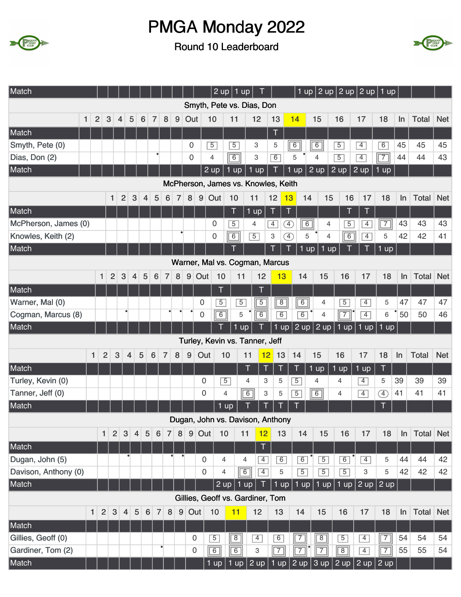



| Match                |              |                                |                |                |                |                |                              |                            |                |                  |                | $2 \text{ up}$ | $1$ up                              |                     |                |                   | 1 up $ 2$ up $ 2$ up $ 2$ up $ 1$ up |                     |                 |                |       |                  |            |
|----------------------|--------------|--------------------------------|----------------|----------------|----------------|----------------|------------------------------|----------------------------|----------------|------------------|----------------|----------------|-------------------------------------|---------------------|----------------|-------------------|--------------------------------------|---------------------|-----------------|----------------|-------|------------------|------------|
|                      |              |                                |                |                |                |                |                              |                            |                |                  |                |                | Smyth, Pete vs. Dias, Don           |                     |                |                   |                                      |                     |                 |                |       |                  |            |
|                      | $\mathbf{1}$ | $\overline{2}$                 | $\sqrt{3}$     | $\overline{4}$ | 5              | 6              | $\overline{7}$               | 8                          | 9              | Out              |                | 10             | 11                                  | 12                  | 13             | 14                | 15                                   | 16                  | 17              | 18             | In    | <b>Total</b>     | <b>Net</b> |
| Match                |              |                                |                |                |                |                |                              |                            |                |                  |                |                |                                     |                     | $\top$         |                   |                                      |                     |                 |                |       |                  |            |
| Smyth, Pete (0)      |              |                                |                |                |                |                |                              |                            |                | $\boldsymbol{0}$ |                | $\overline{5}$ | $\overline{5}$                      | 3                   | 5              | $\overline{6}$    | 6                                    | $\overline{5}$      | $\overline{4}$  | $\overline{6}$ | 45    | 45               | 45         |
| Dias, Don (2)        |              |                                |                |                |                |                |                              |                            |                | $\boldsymbol{0}$ |                | 4              | $\sqrt{6}$                          | 3                   | 6              | 5                 | 4                                    | $\overline{5}$      | $\overline{4}$  | $\boxed{7}$    | 44    | 44               | 43         |
| Match                |              |                                |                |                |                |                |                              |                            |                |                  |                | $2 \text{ up}$ | 1 up                                | $1 \overline{up}$   | Τ              | 1<br>up           | $2 \text{ up}$                       | 2 up                | $2 \text{ up}$  | $1$ up         |       |                  |            |
|                      |              |                                |                |                |                |                |                              |                            |                |                  |                |                | McPherson, James vs. Knowles, Keith |                     |                |                   |                                      |                     |                 |                |       |                  |            |
|                      |              |                                | 1              | $\overline{2}$ |                | 3              | 5<br>$\overline{\mathbf{r}}$ | $6\phantom{1}6$            | $\overline{7}$ | $\bf 8$          | $9$ Out        |                | 10                                  | 11                  | 12             | 13                | 14<br>15                             | 16                  | 17              | 18             | $\ln$ | Total            | <b>Net</b> |
| Match                |              |                                |                |                |                |                |                              |                            |                |                  |                |                | T                                   | $1$ up              | $\top$         | Τ                 |                                      | Τ                   | Τ               |                |       |                  |            |
| McPherson, James (0) |              |                                |                |                |                |                |                              |                            |                |                  |                | 0              | $\overline{5}$                      | 4                   | $\boxed{4}$    | Ð                 | $\boxed{6}$                          | $\overline{5}$<br>4 | $\overline{4}$  | $\overline{7}$ | 43    | 43               | 43         |
| Knowles, Keith (2)   |              |                                |                |                |                |                |                              |                            | $\bullet$      |                  |                | 0              | $\overline{6}$                      | $\overline{5}$      | 3              | $\left( 4\right)$ | 5                                    | 6<br>$\overline{4}$ | $\overline{4}$  | 5              | 42    | 42               | 41         |
| Match                |              |                                |                |                |                |                |                              |                            |                |                  |                |                | Ī                                   |                     | $\mathsf T$    | ī<br>1            | up                                   | $1$ up              |                 | $1$ up         |       |                  |            |
|                      |              |                                |                |                |                |                |                              |                            |                |                  |                |                | Warner, Mal vs. Cogman, Marcus      |                     |                |                   |                                      |                     |                 |                |       |                  |            |
|                      |              | $\mathbf{1}$                   | $\overline{2}$ | 3              |                | 4              | 5<br>$6\phantom{1}6$         | $\overline{7}$             | 8              | 9                | Out            | 10             | 11                                  | 12                  | 13             | 14                | 15                                   | 16                  | 17              | 18             | In    | Total            | <b>Net</b> |
| Match                |              |                                |                |                |                |                |                              |                            |                |                  |                | T              |                                     | T                   |                |                   |                                      |                     |                 |                |       |                  |            |
| Warner, Mal (0)      |              |                                |                |                |                |                |                              |                            |                |                  | $\mathbf 0$    | $\overline{5}$ | $\overline{5}$                      | $\overline{5}$      | $\sqrt{8}$     | $\sqrt{6}$        | 4                                    | $\overline{5}$      | $\overline{4}$  | 5              | 47    | 47               | 47         |
| Cogman, Marcus (8)   |              |                                |                |                | ٠              |                |                              |                            |                |                  | $\mathbf 0$    | $\boxed{6}$    | 5                                   | $\overline{6}$      | $\overline{6}$ | 6                 | $\overline{4}$                       | $\boxed{7}$         | $\overline{4}$  | 6              | 50    | 50               | 46         |
| Match                |              |                                |                |                |                |                |                              |                            |                |                  |                |                | 1 up                                |                     | $1$ up         | $ 2$ up $ $       | $2$ up                               | $1$ up              | 1 up            | $1$ up         |       |                  |            |
|                      |              |                                |                |                |                |                |                              |                            |                |                  |                |                | Turley, Kevin vs. Tanner, Jeff      |                     |                |                   |                                      |                     |                 |                |       |                  |            |
|                      |              | 1                              | $\overline{2}$ | 3              | $\overline{4}$ | 5              | $6\phantom{1}6$              | $\overline{7}$             | 8              | 9                | Out            | 10             | 11                                  |                     | 12<br>13       | 14                | 15                                   | 16                  | 17              | 18             | In    | <b>Total</b>     | <b>Net</b> |
| Match                |              |                                |                |                |                |                |                              |                            |                |                  |                |                | T                                   | $\mathsf T$         | Τ              | $\mathsf T$       | $1$ up                               | 1 up                | $1 \mathrm{up}$ | $\mathsf T$    |       |                  |            |
| Turley, Kevin (0)    |              |                                |                |                |                |                |                              |                            |                |                  | 0              | $\overline{5}$ | 4                                   | 3                   | 5              | $\overline{5}$    | 4                                    | 4                   | $\overline{4}$  | 5              | 39    | 39               | 39         |
| Tanner, Jeff (0)     |              |                                |                |                |                |                |                              |                            |                |                  | $\overline{0}$ | 4              |                                     | $\overline{6}$<br>3 | 5              | $\overline{5}$    | $\overline{6}$                       | 4                   | $\overline{4}$  | $\circled{4}$  | 41    | 41               | 41         |
| Match                |              |                                |                |                |                |                |                              |                            |                |                  |                | $1$ up         |                                     |                     |                |                   |                                      |                     |                 |                |       |                  |            |
|                      |              |                                |                |                |                |                |                              |                            |                |                  |                |                | Dugan, John vs. Davison, Anthony    |                     |                |                   |                                      |                     |                 |                |       |                  |            |
|                      |              | $\mathbf{1}$                   |                | $\vert$ 2      | 3              | $\overline{4}$ | $5\phantom{.}$               | $6 \mid$<br>$\overline{7}$ | 8 <sup>1</sup> |                  | 9 Out          | 10             | 11                                  | 12                  | 13             | 14                | 15                                   | 16                  | 17              | 18             | $\ln$ | <b>Total Net</b> |            |
| Match                |              |                                |                |                |                |                |                              |                            |                |                  |                |                |                                     | T                   |                |                   |                                      |                     |                 |                |       |                  |            |
| Dugan, John (5)      |              |                                |                |                |                |                |                              |                            |                |                  | 0              | 4              | 4                                   | $\overline{4}$      | 6              | 6                 | $\overline{5}$                       | $\overline{6}$      | $\overline{4}$  | 5              | 44    | 44               | 42         |
| Davison, Anthony (0) |              |                                |                |                |                |                |                              |                            |                |                  | 0              | 4              | $\boxed{6}$                         | $\overline{4}$      | 5              | $\overline{5}$    | $\overline{5}$                       | $\overline{5}$      | 3               | 5              | 42    | 42               | 42         |
| Match                |              |                                |                |                |                |                |                              |                            |                |                  |                | 2 up           | $1$ up                              | T                   | $1$ up         |                   | $1$ up $1$ up                        | 1 up                |                 | $2$ up $2$ up  |       |                  |            |
|                      |              |                                |                |                |                |                |                              |                            |                |                  |                |                | Gillies, Geoff vs. Gardiner, Tom    |                     |                |                   |                                      |                     |                 |                |       |                  |            |
|                      |              | $\mathbf{1}$<br>$\overline{2}$ |                | $\mathbf{3}$   | $\overline{4}$ | 5              | $6\phantom{1}6$              | 8<br>$\overline{7}$        | 9              | Out              |                | 10             | 11                                  | 12                  | 13             | 14                | 15                                   | 16                  | 17              | 18             | ln    | Total            | <b>Net</b> |
| Match                |              |                                |                |                |                |                |                              |                            |                |                  |                |                |                                     |                     |                |                   |                                      |                     |                 |                |       |                  |            |
| Gillies, Geoff (0)   |              |                                |                |                |                |                |                              |                            |                | 0                |                | $\overline{5}$ | $\overline{8}$                      | $\overline{4}$      | $\overline{6}$ | $\overline{7}$    | $\overline{8}$                       | $\overline{5}$      | $\overline{4}$  | $\overline{7}$ | 54    | 54               | 54         |
| Gardiner, Tom (2)    |              |                                |                |                |                |                |                              | $\bullet$                  |                | 0                |                | $\overline{6}$ | $\boxed{6}$                         | 3                   | $\sqrt{7}$     | $\overline{7}$    | $\overline{7}$                       | $\boxed{8}$         | $\overline{4}$  | $\overline{7}$ | 55    | 55               | 54         |
| Match                |              |                                |                |                |                |                |                              |                            |                |                  |                |                |                                     |                     |                |                   |                                      |                     |                 |                |       |                  |            |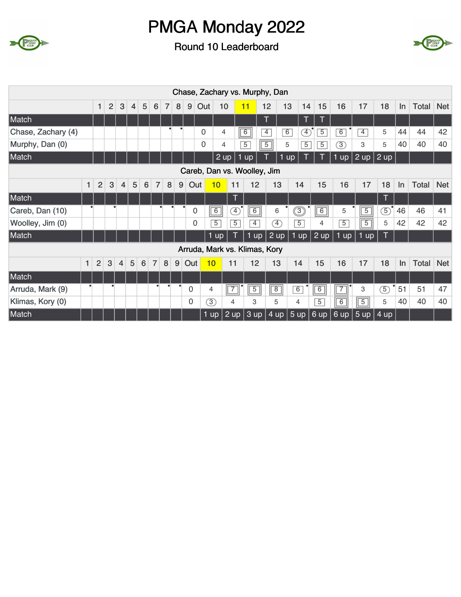



|                    |              |                |                |                |                |   |                  |                |   |             | Chase, Zachary vs. Murphy, Dan |                |                              |                |                       |                |                |                |                |                |                   |    |              |            |
|--------------------|--------------|----------------|----------------|----------------|----------------|---|------------------|----------------|---|-------------|--------------------------------|----------------|------------------------------|----------------|-----------------------|----------------|----------------|----------------|----------------|----------------|-------------------|----|--------------|------------|
|                    |              | 1              | $\overline{2}$ | 3              | $\overline{4}$ | 5 | $6 \overline{6}$ | $\overline{7}$ | 8 | 9           | Out                            | 10             | 11                           |                | 12                    | 13             | 14             | 15             | 16             | 17             | 18                | In | Total Net    |            |
| Match              |              |                |                |                |                |   |                  |                |   |             |                                |                |                              |                | Т                     |                | T              | Т              |                |                |                   |    |              |            |
| Chase, Zachary (4) |              |                |                |                |                |   |                  |                |   |             | 0                              | 4              | 6                            |                | $\overline{4}$        | 6              | $\boxed{4}$    | 5              | 6              | $\overline{4}$ | 5                 | 44 | 44           | 42         |
| Murphy, Dan (0)    |              |                |                |                |                |   |                  |                |   |             | $\mathbf{0}$                   | 4              | $\overline{5}$               |                | $\overline{5}$        | 5              | $\overline{5}$ | $\overline{5}$ | 3)             | 3              | 5                 | 40 | 40           | 40         |
| Match              |              |                |                |                |                |   |                  |                |   |             |                                | 2 up           | up                           |                |                       | up             |                |                | 1 up           | $ 2$ up        | $2 \text{ up}$    |    |              |            |
|                    |              |                |                |                |                |   |                  |                |   |             | Careb, Dan vs. Woolley, Jim    |                |                              |                |                       |                |                |                |                |                |                   |    |              |            |
|                    | $\mathbf{1}$ | $\overline{2}$ | 3              | $\overline{4}$ | 5              | 6 | $\overline{7}$   | 8              | 9 | Out         | 10                             |                | 11                           | 12             | 13                    | 14             |                | 15             | 16             | 17             | 18                | In | <b>Total</b> | <b>Net</b> |
| Match              |              |                |                |                |                |   |                  |                |   |             |                                |                | T                            |                |                       |                |                |                |                |                | T                 |    |              |            |
| Careb, Dan (10)    |              |                |                |                |                |   |                  |                |   | 0           | $\boxed{6}$                    |                | $\left( \overline{4}\right)$ | $\boxed{6}$    | 6                     | ි              |                | $\sqrt{6}$     | 5              | $\overline{5}$ | (5)               | 46 | 46           | 41         |
| Woolley, Jim (0)   |              |                |                |                |                |   |                  |                |   | 0           | $\overline{5}$                 |                | $\overline{5}$               | $\overline{4}$ | $\boxed{4}$           | $\overline{5}$ |                | 4              | $\overline{5}$ | $\overline{5}$ | 5                 | 42 | 42           | 42         |
| Match              |              |                |                |                |                |   |                  |                |   |             | 1 up                           |                |                              | 1 up           | $ 2$ up               | 1 up           |                | 2 up           | $1$ up         | $1$ up         |                   |    |              |            |
|                    |              |                |                |                |                |   |                  |                |   |             | Arruda, Mark vs. Klimas, Kory  |                |                              |                |                       |                |                |                |                |                |                   |    |              |            |
|                    | $\mathbf{1}$ | $\overline{2}$ | 3              | 4              | 5              | 6 | $\overline{7}$   | 8              | 9 | Out         | 10                             | 11             |                              | 12             | 13                    | 14             |                | 15             | 16             | 17             | 18                | In | Total        | <b>Net</b> |
| Match              |              |                |                |                |                |   |                  |                |   |             |                                |                |                              |                |                       |                |                |                |                |                |                   |    |              |            |
| Arruda, Mark (9)   |              |                | ٠              |                |                |   |                  | $\bullet$      | ٠ | $\mathbf 0$ | 4                              | $\overline{7}$ |                              | $\overline{5}$ | $\sqrt{8}$            | 6              |                | $\boxed{6}$    | $\boxed{7}$    | 3              | $\circledS$       | 51 | 51           | 47         |
| Klimas, Kory (0)   |              |                |                |                |                |   |                  |                |   | 0           | $\circled{3}$                  | 4              |                              | 3              | 5                     | 4              |                | $\overline{5}$ | $\overline{6}$ | $\overline{5}$ | 5                 | 40 | 40           | 40         |
| Match              |              |                |                |                |                |   |                  |                |   |             | $1$ up $\vert$                 |                |                              |                | $2$ up 3 up 4 up 5 up |                |                | 6 up           |                | 6 up   5 up    | $4 \overline{up}$ |    |              |            |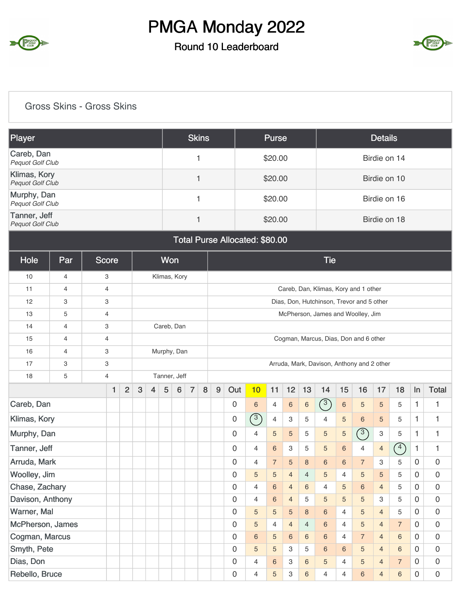

#### Round 10 Leaderboard



#### Gross Skins - Gross Skins

| Player                                  | <b>Skins</b> | Purse   | <b>Details</b> |
|-----------------------------------------|--------------|---------|----------------|
| Careb, Dan<br>Pequot Golf Club          |              | \$20.00 | Birdie on 14   |
| Klimas, Kory<br><b>Pequot Golf Club</b> |              | \$20.00 | Birdie on 10   |
| Murphy, Dan<br>Pequot Golf Club         |              | \$20.00 | Birdie on 16   |
| Tanner, Jeff<br>Pequot Golf Club        |              | \$20.00 | Birdie on 18   |

#### Total Purse Allocated: \$80.00

| Hole             | Par              |  | <b>Score</b>              |                |   |                | <b>Won</b> |              |                |   |   |             |                |                 |                |                | <b>Tie</b>     |                 |                                            |                |                |                |                |
|------------------|------------------|--|---------------------------|----------------|---|----------------|------------|--------------|----------------|---|---|-------------|----------------|-----------------|----------------|----------------|----------------|-----------------|--------------------------------------------|----------------|----------------|----------------|----------------|
| 10               | $\overline{4}$   |  | 3                         |                |   |                |            | Klimas, Kory |                |   |   |             |                |                 |                |                |                |                 |                                            |                |                |                |                |
| 11               | $\overline{4}$   |  | $\overline{4}$            |                |   |                |            |              |                |   |   |             |                |                 |                |                |                |                 | Careb, Dan, Klimas, Kory and 1 other       |                |                |                |                |
| 12               | 3                |  | 3                         |                |   |                |            |              |                |   |   |             |                |                 |                |                |                |                 | Dias, Don, Hutchinson, Trevor and 5 other  |                |                |                |                |
| 13               | 5                |  | $\overline{4}$            |                |   |                |            |              |                |   |   |             |                |                 |                |                |                |                 | McPherson, James and Woolley, Jim          |                |                |                |                |
| 14               | $\overline{4}$   |  | 3                         |                |   |                |            | Careb, Dan   |                |   |   |             |                |                 |                |                |                |                 |                                            |                |                |                |                |
| 15               | $\overline{4}$   |  | $\overline{4}$            |                |   |                |            |              |                |   |   |             |                |                 |                |                |                |                 | Cogman, Marcus, Dias, Don and 6 other      |                |                |                |                |
| 16               | $\overline{4}$   |  | 3                         |                |   |                |            | Murphy, Dan  |                |   |   |             |                |                 |                |                |                |                 |                                            |                |                |                |                |
| 17               | 3                |  | $\ensuremath{\mathsf{3}}$ |                |   |                |            |              |                |   |   |             |                |                 |                |                |                |                 | Arruda, Mark, Davison, Anthony and 2 other |                |                |                |                |
| 18               | 5                |  | $\overline{4}$            |                |   |                |            | Tanner, Jeff |                |   |   |             |                |                 |                |                |                |                 |                                            |                |                |                |                |
|                  |                  |  | $\mathbf{1}$              | $\overline{2}$ | 3 | $\overline{4}$ | 5          | 6            | $\overline{7}$ | 8 | 9 | Out         | 10             | 11              | 12             | 13             | 14             | 15              | 16                                         | 17             | 18             | $\ln$          | <b>Total</b>   |
| Careb, Dan       |                  |  |                           |                |   |                |            |              |                |   |   | $\mathbf 0$ | 6              | $\overline{4}$  | $6\,$          | $\,6\,$        | (3)            | $\,6\,$         | 5                                          | 5              | 5              | 1              | 1              |
| Klimas, Kory     |                  |  |                           |                |   |                |            |              |                |   |   | 0           | $\binom{3}{ }$ | $\overline{4}$  | 3              | 5              | $\overline{4}$ | 5               | $6\phantom{1}$                             | $\overline{5}$ | 5              | 1              | 1              |
| Murphy, Dan      |                  |  |                           |                |   |                |            |              |                |   |   | 0           | $\overline{4}$ | 5               | 5              | 5              | 5              | 5               | $\binom{3}{ }$                             | $\,3$          | 5              | $\mathbf{1}$   | 1              |
| Tanner, Jeff     |                  |  |                           |                |   |                |            |              |                |   |   | 0           | $\overline{4}$ | $6\phantom{1}$  | 3              | 5              | 5              | 6               | $\overline{4}$                             | $\overline{4}$ | $\binom{4}{}$  | $\mathbf{1}$   | $\mathbf{1}$   |
| Arruda, Mark     |                  |  |                           |                |   |                |            |              |                |   |   | $\mathbf 0$ | $\overline{4}$ | $\overline{7}$  | 5              | $\bf8$         | $\,6\,$        | $6\phantom{1}6$ | $\overline{7}$                             | 3              | 5              | $\mathbf 0$    | $\mathbf 0$    |
| Woolley, Jim     |                  |  |                           |                |   |                |            |              |                |   |   | 0           | 5              | 5               | $\overline{4}$ | $\overline{4}$ | 5              | $\overline{4}$  | 5                                          | 5              | 5              | $\mathbf 0$    | $\mathbf 0$    |
| Chase, Zachary   |                  |  |                           |                |   |                |            |              |                |   |   | 0           | $\overline{4}$ | 6               | $\overline{4}$ | 6              | $\overline{4}$ | 5               | $6\phantom{1}6$                            | $\overline{4}$ | 5              | $\mathbf 0$    | $\mathbf 0$    |
| Davison, Anthony |                  |  |                           |                |   |                |            |              |                |   |   | 0           | $\overline{4}$ | 6               | $\overline{4}$ | 5              | 5              | 5               | 5                                          | 3              | 5              | $\Omega$       | $\mathbf 0$    |
| Warner, Mal      |                  |  |                           |                |   |                |            |              |                |   |   | 0           | 5              | 5               | 5              | 8              | $\,6\,$        | $\overline{4}$  | 5                                          | $\overline{4}$ | 5              | $\Omega$       | $\mathbf 0$    |
|                  | McPherson, James |  |                           |                |   |                |            |              |                |   |   | $\mathbf 0$ | 5              | 4               | $\overline{4}$ | $\overline{4}$ | 6              | $\overline{4}$  | 5                                          | $\overline{4}$ | $\overline{7}$ | $\mathbf 0$    | $\overline{0}$ |
|                  | Cogman, Marcus   |  |                           |                |   |                |            |              |                |   |   | 0           | 6              | 5               | 6              | 6              | 6              | $\overline{4}$  | $\overline{7}$                             | $\overline{4}$ | $6\,$          | $\mathbf 0$    | $\mathbf 0$    |
| Smyth, Pete      |                  |  |                           |                |   |                |            |              |                |   |   | 0           | 5              | 5               | 3              | 5              | 6              | 6               | 5                                          | $\overline{4}$ | 6              | $\mathbf 0$    | $\mathbf 0$    |
| Dias, Don        |                  |  |                           |                |   |                |            |              |                |   |   | 0           | $\overline{4}$ | $6\phantom{1}6$ | 3              | $\,6\,$        | 5              | $\overline{4}$  | 5                                          | $\overline{4}$ | $\overline{7}$ | $\overline{0}$ | $\mathbf 0$    |
| Rebello, Bruce   |                  |  |                           |                |   |                |            |              |                |   |   | 0           | $\overline{4}$ | 5               | 3              | $6\phantom{1}$ | 4              | $\overline{4}$  | 6                                          | $\overline{4}$ | $6\,$          | $\mathbf 0$    | $\mathbf 0$    |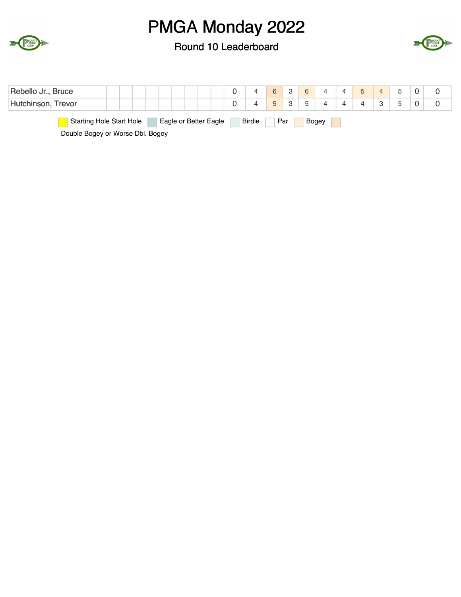



| Rebello Jr., Bruce                                                                 |  |   | $6^{\circ}$    | -3 | 6                               |  |  |  |  |  |  |  |
|------------------------------------------------------------------------------------|--|---|----------------|----|---------------------------------|--|--|--|--|--|--|--|
| Hutchinson, Trevor                                                                 |  | 4 | 5 <sub>5</sub> |    | $\overline{ }$<br>$\mathcal{D}$ |  |  |  |  |  |  |  |
| <b>Starting Hole Start Hole</b><br>Eagle or Better Eagle<br>Birdie<br>Par<br>Bogey |  |   |                |    |                                 |  |  |  |  |  |  |  |
| Double Bogey or Worse Dbl. Bogey                                                   |  |   |                |    |                                 |  |  |  |  |  |  |  |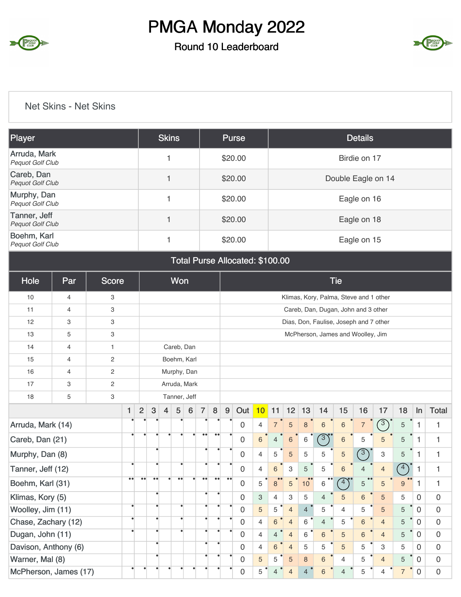

#### Round 10 Leaderboard



#### Net Skins - Net Skins

| Player                                  | <b>Skins</b> | Purse   | <b>Details</b>     |
|-----------------------------------------|--------------|---------|--------------------|
| Arruda, Mark<br>Pequot Golf Club        |              | \$20.00 | Birdie on 17       |
| Careb, Dan<br>Pequot Golf Club          |              | \$20.00 | Double Eagle on 14 |
| Murphy, Dan<br>Pequot Golf Club         |              | \$20.00 | Eagle on 16        |
| Tanner, Jeff<br><b>Pequot Golf Club</b> |              | \$20.00 | Eagle on 18        |
| Boehm, Karl<br><b>Pequot Golf Club</b>  |              | \$20.00 | Eagle on 15        |

| Total Purse Allocated: \$100.00 |  |  |
|---------------------------------|--|--|
|---------------------------------|--|--|

| Hole                      | Par | <b>Score</b>   |                  | Won                                    |                  |                |                  |                                        | <b>Tie</b>       |                  |                                   |                |                |                |                |                |                |                |                                     |                           |             |              |                |
|---------------------------|-----|----------------|------------------|----------------------------------------|------------------|----------------|------------------|----------------------------------------|------------------|------------------|-----------------------------------|----------------|----------------|----------------|----------------|----------------|----------------|----------------|-------------------------------------|---------------------------|-------------|--------------|----------------|
| 10<br>3<br>$\overline{4}$ |     |                |                  | Klimas, Kory, Palma, Steve and 1 other |                  |                |                  |                                        |                  |                  |                                   |                |                |                |                |                |                |                |                                     |                           |             |              |                |
| 11                        | 4   | 3              |                  |                                        |                  |                |                  |                                        |                  |                  |                                   |                |                |                |                |                |                |                | Careb, Dan, Dugan, John and 3 other |                           |             |              |                |
| 12                        | 3   | 3              |                  |                                        |                  |                |                  | Dias, Don, Faulise, Joseph and 7 other |                  |                  |                                   |                |                |                |                |                |                |                |                                     |                           |             |              |                |
| 13                        | 5   | 3              |                  |                                        |                  |                |                  |                                        |                  |                  | McPherson, James and Woolley, Jim |                |                |                |                |                |                |                |                                     |                           |             |              |                |
| 14                        | 4   | $\mathbf{1}$   |                  |                                        |                  |                | Careb, Dan       |                                        |                  |                  |                                   |                |                |                |                |                |                |                |                                     |                           |             |              |                |
| 15                        | 4   | $\overline{2}$ |                  |                                        |                  |                | Boehm, Karl      |                                        |                  |                  |                                   |                |                |                |                |                |                |                |                                     |                           |             |              |                |
| 16                        | 4   | $\overline{c}$ |                  |                                        | Murphy, Dan      |                |                  |                                        |                  |                  |                                   |                |                |                |                |                |                |                |                                     |                           |             |              |                |
| 17                        | 3   | $\overline{2}$ |                  |                                        |                  |                | Arruda, Mark     |                                        |                  |                  |                                   |                |                |                |                |                |                |                |                                     |                           |             |              |                |
| 18                        | 5   | 3              |                  |                                        |                  |                | Tanner, Jeff     |                                        |                  |                  |                                   |                |                |                |                |                |                |                |                                     |                           |             |              |                |
|                           |     |                | 1                | $\overline{2}$                         | 3                | $\overline{4}$ | 5                | 6                                      | $\overline{7}$   | 8                | $9\,$                             | Out            | 10             | 11             | 12             | 13             | 14             | 15             | 16                                  | 17                        | 18          | In           | <b>Total</b>   |
| Arruda, Mark (14)         |     |                |                  |                                        |                  |                |                  |                                        |                  |                  |                                   | $\Omega$       | $\overline{4}$ | $\overline{7}$ | 5              | $\mathbf{8}$   | $6\phantom{1}$ | $\,6\,$        | $\overline{7}$                      | $\sqrt{3}$                | $\sqrt{5}$  | $\mathbf{1}$ | $\mathbf{1}$   |
| Careb, Dan (21)           |     |                |                  | $\bullet$                              |                  | ٠              | $\bullet$        | ۰                                      | $\bullet\bullet$ | $\bullet\bullet$ |                                   | 0              | $6\phantom{1}$ | $\overline{4}$ | 6              | 6              | $\binom{3}{ }$ | $\,$ 6 $\,$    | 5                                   | 5                         | 5           | 1            | 1              |
| Murphy, Dan (8)           |     |                |                  |                                        | $\bullet$        |                |                  |                                        | ٠                |                  |                                   | 0              | $\overline{4}$ | 5              | 5              | $\overline{5}$ | 5              | 5              | $\bigcirc$                          | $\ensuremath{\mathsf{3}}$ | 5           | $\mathbf{1}$ | 1              |
| Tanner, Jeff (12)         |     |                |                  |                                        | ٠                |                | $\bullet$        |                                        | $\bullet$        |                  |                                   | 0              | $\overline{4}$ | $6\phantom{1}$ | 3              | 5              | 5              | 6              | $\overline{4}$                      | $\overline{4}$            | $\sqrt{4}$  | 1            | 1              |
| Boehm, Karl (31)          |     |                | $\bullet\bullet$ | $\bullet\bullet$                       | $\bullet\bullet$ | ٠              | $\bullet\bullet$ | ٠                                      | $\bullet\bullet$ | $\bullet\bullet$ | $\bullet\bullet$                  | $\overline{0}$ | 5              | 8              | 5              | 10             | 6              | $\binom{4}{ }$ | $\bullet\,\bullet$<br>5             | 5                         | 9           | $\mathbf{1}$ | 1              |
| Klimas, Kory (5)          |     |                |                  |                                        | $\bullet$        |                |                  |                                        | $\bullet$        | ٠                |                                   | 0              | 3              | $\overline{4}$ | 3              | 5              | $\overline{4}$ | 5              | 6                                   | 5                         | 5           | $\Omega$     | $\overline{0}$ |
| Woolley, Jim (11)         |     |                | $\bullet$        |                                        | $\bullet$        |                | $\bullet$        |                                        | $\bullet$        |                  |                                   | 0              | 5              | 5              | $\overline{4}$ | $\overline{4}$ | 5              | $\overline{4}$ | 5                                   | 5                         | 5           | $\mathbf 0$  | $\mathbf 0$    |
| Chase, Zachary (12)       |     |                |                  |                                        |                  |                | $\bullet$        |                                        | $\bullet$        | $\bullet$        |                                   | 0              | $\overline{4}$ | 6              | $\overline{4}$ | 6              | $\overline{4}$ | 5              | 6                                   | $\overline{4}$            | 5           | $\Omega$     | $\mathbf 0$    |
| Dugan, John (11)          |     |                |                  |                                        |                  |                |                  |                                        | $\bullet$        |                  |                                   | 0              | $\overline{4}$ | $\overline{4}$ | $\overline{4}$ | 6              | 6              | 5              | $6\,$                               | $\overline{4}$            | 5           | $\mathbf 0$  | $\overline{0}$ |
| Davison, Anthony (6)      |     |                |                  |                                        | $\bullet$        |                |                  |                                        | $\bullet$        | $\bullet$        |                                   | 0              | $\overline{4}$ | 6              | $\overline{4}$ | 5              | 5              | 5              | 5                                   | 3                         | 5           | $\Omega$     | $\mathbf 0$    |
| Warner, Mal (8)           |     |                |                  |                                        | ٠                |                |                  |                                        | ٠                |                  |                                   | $\mathbf 0$    | 5              | 5              | 5              | $\,8\,$        | 6              | 4              | 5                                   | $\overline{4}$            | 5           | $\Omega$     | $\overline{0}$ |
| McPherson, James (17)     |     |                |                  |                                        |                  |                |                  |                                        |                  | 0                | 5                                 | $\overline{4}$ | $\overline{4}$ | $\overline{4}$ | 6              | $\overline{4}$ | 5              | $\overline{4}$ | $\overline{7}$                      | $\overline{0}$            | $\mathbf 0$ |              |                |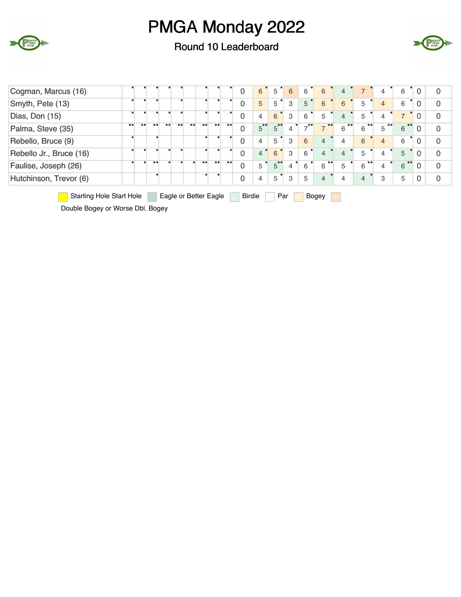

Round 10 Leaderboard



| Cogman, Marcus (16)                                                                       |           |  |  |  |  |  |  |           |                  | 0            | 6              | 5                    | 6              | 6                    | 6                     | 4              |                |                | 6                     | $\Omega$       | $\overline{0}$ |
|-------------------------------------------------------------------------------------------|-----------|--|--|--|--|--|--|-----------|------------------|--------------|----------------|----------------------|----------------|----------------------|-----------------------|----------------|----------------|----------------|-----------------------|----------------|----------------|
| Smyth, Pete (13)                                                                          |           |  |  |  |  |  |  |           |                  | 0            | 5              | 5                    | 3              | 5                    | 6                     | 6              | 5              | $\overline{4}$ | 6                     | $\overline{0}$ | 0              |
| Dias, Don (15)                                                                            |           |  |  |  |  |  |  |           |                  | 0            | $\overline{4}$ | 6                    | 3              | 6                    | 5                     | $\overline{4}$ | 5              | 4              |                       | $\Omega$       | $\mathbf 0$    |
| Palma, Steve (35)                                                                         | $\bullet$ |  |  |  |  |  |  |           | $^{\bullet}$     | 0            | $\overline{5}$ | $5^{\circ}$          | 4              | $7^{\bullet\bullet}$ |                       | 6              | 6              | 5              | 6                     | $\Omega$       | $\overline{0}$ |
| Rebello, Bruce (9)                                                                        |           |  |  |  |  |  |  |           |                  | $\mathbf 0$  | $\overline{4}$ | 5                    | 3              | 6                    | $\overline{4}$        | $\overline{4}$ | 6              | $\overline{4}$ | 6                     | $\Omega$       | $\overline{0}$ |
| Rebello Jr., Bruce (16)                                                                   |           |  |  |  |  |  |  |           |                  | $\mathbf 0$  | $\overline{4}$ | 6                    | 3              | 6                    | $\overline{4}$        | $\overline{4}$ | 5              | 4              | 5                     | $\Omega$       | $\overline{0}$ |
| Faulise, Joseph (26)                                                                      |           |  |  |  |  |  |  | $\bullet$ | $\bullet\bullet$ | $\mathbf{0}$ | 5              | $5^{\bullet\bullet}$ | $\overline{4}$ | 6                    | $\bullet\bullet$<br>6 | 5              | $\bullet$<br>6 |                | $\bullet\bullet$<br>6 | $\Omega$       | $\overline{0}$ |
| Hutchinson, Trevor (6)                                                                    |           |  |  |  |  |  |  |           |                  | $\mathbf{0}$ | 4              | 5                    | 3              | 5                    | $\overline{4}$        | 4              | 4              | 3              | 5                     | $\Omega$       | $\mathbf 0$    |
| <b>Starting Hole Start Hole</b><br><b>Birdie</b><br>Par<br>Eagle or Better Eagle<br>Bogey |           |  |  |  |  |  |  |           |                  |              |                |                      |                |                      |                       |                |                |                |                       |                |                |

Double Bogey or Worse Dbl. Bogey